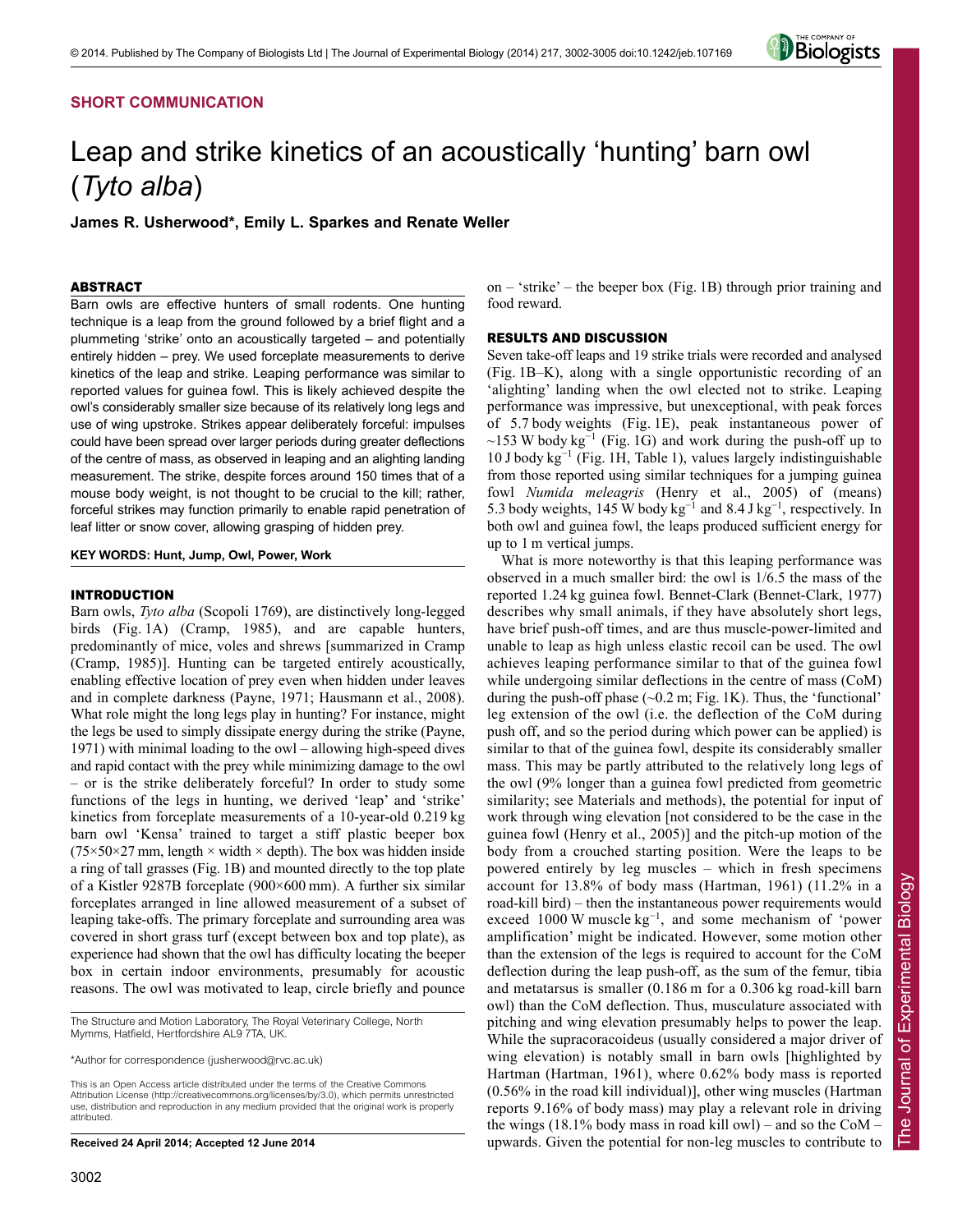# **SHORT COMMUNICATION**



# Leap and strike kinetics of an acoustically 'hunting' barn owl (*Tyto alba*)

**James R. Usherwood\*, Emily L. Sparkes and Renate Weller**

# ABSTRACT

Barn owls are effective hunters of small rodents. One hunting technique is a leap from the ground followed by a brief flight and a plummeting 'strike' onto an acoustically targeted – and potentially entirely hidden – prey. We used forceplate measurements to derive kinetics of the leap and strike. Leaping performance was similar to reported values for guinea fowl. This is likely achieved despite the owl's considerably smaller size because of its relatively long legs and use of wing upstroke. Strikes appear deliberately forceful: impulses could have been spread over larger periods during greater deflections of the centre of mass, as observed in leaping and an alighting landing measurement. The strike, despite forces around 150 times that of a mouse body weight, is not thought to be crucial to the kill; rather, forceful strikes may function primarily to enable rapid penetration of leaf litter or snow cover, allowing grasping of hidden prey.

**KEY WORDS: Hunt, Jump, Owl, Power, Work**

# INTRODUCTION

Barn owls, *Tyto alba* (Scopoli 1769), are distinctively long-legged birds (Fig. 1A) (Cramp, 1985), and are capable hunters, predominantly of mice, voles and shrews [summarized in Cramp (Cramp, 1985)]. Hunting can be targeted entirely acoustically, enabling effective location of prey even when hidden under leaves and in complete darkness (Payne, 1971; Hausmann et al., 2008). What role might the long legs play in hunting? For instance, might the legs be used to simply dissipate energy during the strike (Payne, 1971) with minimal loading to the owl – allowing high-speed dives and rapid contact with the prey while minimizing damage to the owl – or is the strike deliberately forceful? In order to study some functions of the legs in hunting, we derived 'leap' and 'strike' kinetics from forceplate measurements of a 10-year-old 0.219 kg barn owl 'Kensa' trained to target a stiff plastic beeper box  $(75\times50\times27$  mm, length  $\times$  width  $\times$  depth). The box was hidden inside a ring of tall grasses (Fig. 1B) and mounted directly to the top plate of a Kistler 9287B forceplate (900×600 mm). A further six similar forceplates arranged in line allowed measurement of a subset of leaping take-offs. The primary forceplate and surrounding area was covered in short grass turf (except between box and top plate), as experience had shown that the owl has difficulty locating the beeper box in certain indoor environments, presumably for acoustic reasons. The owl was motivated to leap, circle briefly and pounce

The Structure and Motion Laboratory, The Royal Veterinary College, North Mymms, Hatfield, Hertfordshire AL9 7TA, UK.

\*Author for correspondence (jusherwood@rvc.ac.uk)

This is an Open Access article distributed under the terms of the Creative Commons Attribution License (http://creativecommons.org/licenses/by/3.0), which permits unrestricted use, distribution and reproduction in any medium provided that the original work is properly attributed.

**Received 24 April 2014; Accepted 12 June 2014**

on – 'strike' – the beeper box (Fig. 1B) through prior training and food reward.

# RESULTS AND DISCUSSION

Seven take-off leaps and 19 strike trials were recorded and analysed (Fig. 1B–K), along with a single opportunistic recording of an 'alighting' landing when the owl elected not to strike. Leaping performance was impressive, but unexceptional, with peak forces of 5.7 body weights (Fig. 1E), peak instantaneous power of ~153 W body  $kg^{-1}$  (Fig. 1G) and work during the push-off up to 10 J body kg<sup>−</sup><sup>1</sup> (Fig. 1H, Table 1), values largely indistinguishable from those reported using similar techniques for a jumping guinea fowl *Numida meleagris* (Henry et al., 2005) of (means) 5.3 body weights, 145 W body  $kg^{-1}$  and 8.4 J kg<sup>-1</sup>, respectively. In both owl and guinea fowl, the leaps produced sufficient energy for up to 1 m vertical jumps.

What is more noteworthy is that this leaping performance was observed in a much smaller bird: the owl is 1/6.5 the mass of the reported 1.24 kg guinea fowl. Bennet-Clark (Bennet-Clark, 1977) describes why small animals, if they have absolutely short legs, have brief push-off times, and are thus muscle-power-limited and unable to leap as high unless elastic recoil can be used. The owl achieves leaping performance similar to that of the guinea fowl while undergoing similar deflections in the centre of mass (CoM) during the push-off phase  $(\sim 0.2 \text{ m}$ ; Fig. 1K). Thus, the 'functional' leg extension of the owl (i.e. the deflection of the CoM during push off, and so the period during which power can be applied) is similar to that of the guinea fowl, despite its considerably smaller mass. This may be partly attributed to the relatively long legs of the owl (9% longer than a guinea fowl predicted from geometric similarity; see Materials and methods), the potential for input of work through wing elevation [not considered to be the case in the guinea fowl (Henry et al., 2005)] and the pitch-up motion of the body from a crouched starting position. Were the leaps to be powered entirely by leg muscles – which in fresh specimens account for 13.8% of body mass (Hartman, 1961) (11.2% in a road-kill bird) – then the instantaneous power requirements would exceed 1000 W muscle kg<sup>-1</sup>, and some mechanism of 'power amplification' might be indicated. However, some motion other than the extension of the legs is required to account for the CoM deflection during the leap push-off, as the sum of the femur, tibia and metatarsus is smaller (0.186 m for a 0.306 kg road-kill barn owl) than the CoM deflection. Thus, musculature associated with pitching and wing elevation presumably helps to power the leap. While the supracoracoideus (usually considered a major driver of wing elevation) is notably small in barn owls [highlighted by Hartman (Hartman, 1961), where 0.62% body mass is reported (0.56% in the road kill individual)], other wing muscles (Hartman reports 9.16% of body mass) may play a relevant role in driving the wings (18.1% body mass in road kill owl) – and so the CoM – upwards. Given the potential for non-leg muscles to contribute to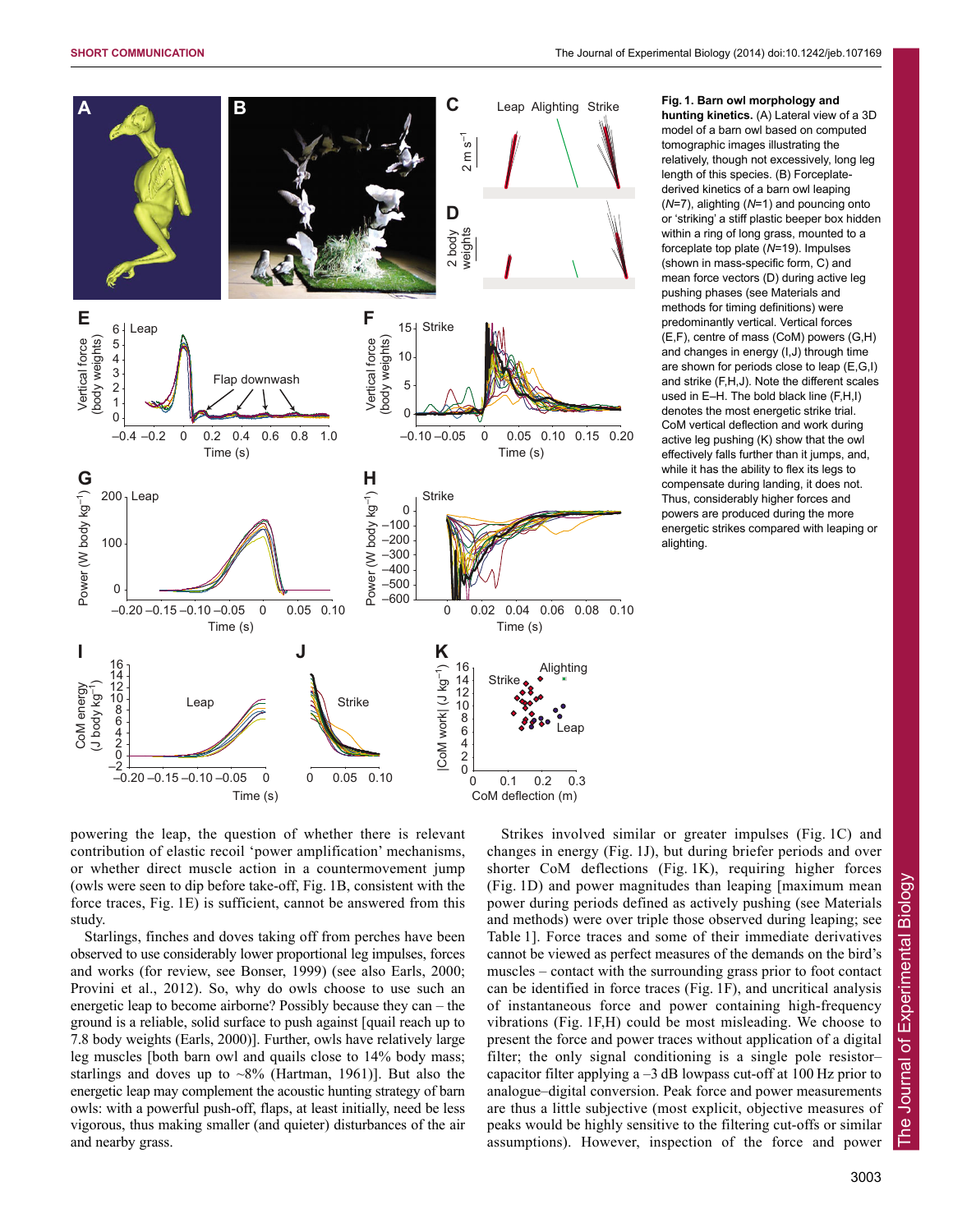

**hunting kinetics.** (A) Lateral view of a 3D model of a barn owl based on computed tomographic images illustrating the relatively, though not excessively, long leg length of this species. (B) Forceplatederived kinetics of a barn owl leaping (*N*=7), alighting (*N*=1) and pouncing onto or 'striking' a stiff plastic beeper box hidden within a ring of long grass, mounted to a forceplate top plate (*N*=19). Impulses (shown in mass-specific form, C) and mean force vectors (D) during active leg pushing phases (see Materials and methods for timing definitions) were predominantly vertical. Vertical forces (E,F), centre of mass (CoM) powers (G,H) and changes in energy (I,J) through time are shown for periods close to leap (E,G,I) and strike (F,H,J). Note the different scales used in E–H. The bold black line (F,H,I) denotes the most energetic strike trial. CoM vertical deflection and work during active leg pushing (K) show that the owl effectively falls further than it jumps, and, while it has the ability to flex its legs to compensate during landing, it does not. Thus, considerably higher forces and powers are produced during the more energetic strikes compared with leaping or alighting.

powering the leap, the question of whether there is relevant contribution of elastic recoil 'power amplification' mechanisms, or whether direct muscle action in a countermovement jump (owls were seen to dip before take-off, Fig. 1B, consistent with the force traces, Fig. 1E) is sufficient, cannot be answered from this study.

Starlings, finches and doves taking off from perches have been observed to use considerably lower proportional leg impulses, forces and works (for review, see Bonser, 1999) (see also Earls, 2000; Provini et al., 2012). So, why do owls choose to use such an energetic leap to become airborne? Possibly because they can – the ground is a reliable, solid surface to push against [quail reach up to 7.8 body weights (Earls, 2000)]. Further, owls have relatively large leg muscles [both barn owl and quails close to 14% body mass; starlings and doves up to  $\sim8\%$  (Hartman, 1961)]. But also the energetic leap may complement the acoustic hunting strategy of barn owls: with a powerful push-off, flaps, at least initially, need be less vigorous, thus making smaller (and quieter) disturbances of the air and nearby grass.

Strikes involved similar or greater impulses (Fig. 1C) and changes in energy (Fig. 1J), but during briefer periods and over shorter CoM deflections (Fig. 1K), requiring higher forces (Fig. 1D) and power magnitudes than leaping [maximum mean power during periods defined as actively pushing (see Materials and methods) were over triple those observed during leaping; see Table 1]. Force traces and some of their immediate derivatives cannot be viewed as perfect measures of the demands on the bird's muscles – contact with the surrounding grass prior to foot contact can be identified in force traces (Fig. 1F), and uncritical analysis of instantaneous force and power containing high-frequency vibrations (Fig. 1F,H) could be most misleading. We choose to present the force and power traces without application of a digital filter; the only signal conditioning is a single pole resistor– capacitor filter applying  $a - 3$  dB lowpass cut-off at 100 Hz prior to analogue–digital conversion. Peak force and power measurements are thus a little subjective (most explicit, objective measures of peaks would be highly sensitive to the filtering cut-offs or similar assumptions). However, inspection of the force and power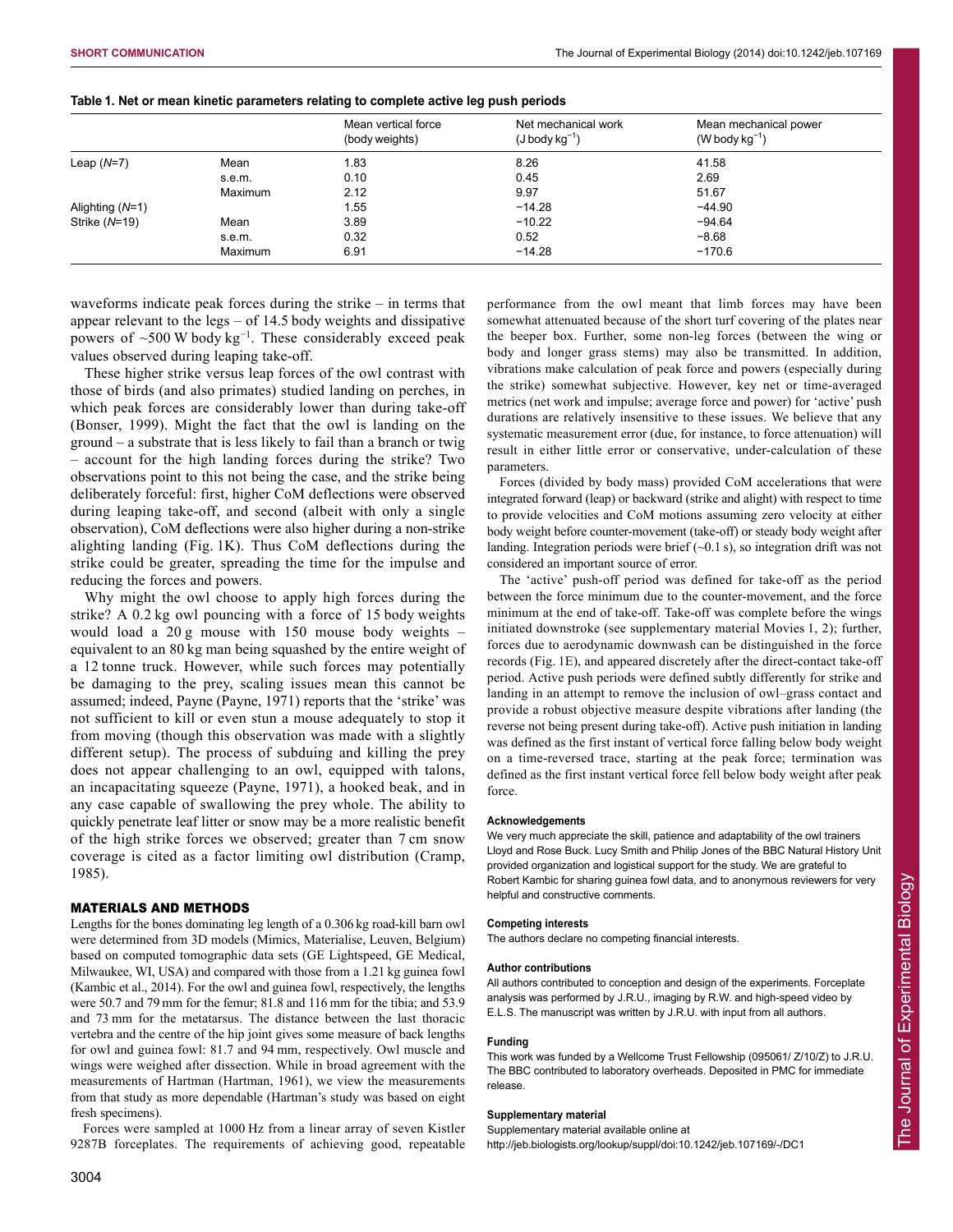| Table 1. Net or mean kinetic parameters relating to complete active leg push periods |  |  |  |  |  |
|--------------------------------------------------------------------------------------|--|--|--|--|--|
|--------------------------------------------------------------------------------------|--|--|--|--|--|

|                   |         | Mean vertical force<br>(body weights) | Net mechanical work<br>$(J$ body $kg^{-1}$ ) | Mean mechanical power<br>(W body $kg^{-1}$ ) |
|-------------------|---------|---------------------------------------|----------------------------------------------|----------------------------------------------|
| Leap $(N=7)$      | Mean    | 1.83                                  | 8.26                                         | 41.58                                        |
|                   | s.e.m.  | 0.10                                  | 0.45                                         | 2.69                                         |
|                   | Maximum | 2.12                                  | 9.97                                         | 51.67                                        |
| Alighting $(N=1)$ |         | 1.55                                  | $-14.28$                                     | $-44.90$                                     |
| Strike $(N=19)$   | Mean    | 3.89                                  | $-10.22$                                     | $-94.64$                                     |
|                   | s.e.m.  | 0.32                                  | 0.52                                         | $-8.68$                                      |
|                   | Maximum | 6.91                                  | $-14.28$                                     | $-170.6$                                     |

waveforms indicate peak forces during the strike – in terms that appear relevant to the legs – of 14.5 body weights and dissipative powers of  $\sim$ 500 W body kg<sup>-1</sup>. These considerably exceed peak values observed during leaping take-off.

These higher strike versus leap forces of the owl contrast with those of birds (and also primates) studied landing on perches, in which peak forces are considerably lower than during take-off (Bonser, 1999). Might the fact that the owl is landing on the ground – a substrate that is less likely to fail than a branch or twig – account for the high landing forces during the strike? Two observations point to this not being the case, and the strike being deliberately forceful: first, higher CoM deflections were observed during leaping take-off, and second (albeit with only a single observation), CoM deflections were also higher during a non-strike alighting landing (Fig. 1K). Thus CoM deflections during the strike could be greater, spreading the time for the impulse and reducing the forces and powers.

Why might the owl choose to apply high forces during the strike? A 0.2 kg owl pouncing with a force of 15 body weights would load a 20 g mouse with 150 mouse body weights – equivalent to an 80 kg man being squashed by the entire weight of a 12 tonne truck. However, while such forces may potentially be damaging to the prey, scaling issues mean this cannot be assumed; indeed, Payne (Payne, 1971) reports that the 'strike' was not sufficient to kill or even stun a mouse adequately to stop it from moving (though this observation was made with a slightly different setup). The process of subduing and killing the prey does not appear challenging to an owl, equipped with talons, an incapacitating squeeze (Payne, 1971), a hooked beak, and in any case capable of swallowing the prey whole. The ability to quickly penetrate leaf litter or snow may be a more realistic benefit of the high strike forces we observed; greater than 7 cm snow coverage is cited as a factor limiting owl distribution (Cramp, 1985).

# MATERIALS AND METHODS

Lengths for the bones dominating leg length of a 0.306 kg road-kill barn owl were determined from 3D models (Mimics, Materialise, Leuven, Belgium) based on computed tomographic data sets (GE Lightspeed, GE Medical, Milwaukee, WI, USA) and compared with those from a 1.21 kg guinea fowl (Kambic et al., 2014). For the owl and guinea fowl, respectively, the lengths were 50.7 and 79 mm for the femur; 81.8 and 116 mm for the tibia; and 53.9 and 73 mm for the metatarsus. The distance between the last thoracic vertebra and the centre of the hip joint gives some measure of back lengths for owl and guinea fowl: 81.7 and 94 mm, respectively. Owl muscle and wings were weighed after dissection. While in broad agreement with the measurements of Hartman (Hartman, 1961), we view the measurements from that study as more dependable (Hartman's study was based on eight fresh specimens).

Forces were sampled at 1000 Hz from a linear array of seven Kistler 9287B forceplates. The requirements of achieving good, repeatable performance from the owl meant that limb forces may have been somewhat attenuated because of the short turf covering of the plates near the beeper box. Further, some non-leg forces (between the wing or body and longer grass stems) may also be transmitted. In addition, vibrations make calculation of peak force and powers (especially during the strike) somewhat subjective. However, key net or time-averaged metrics (net work and impulse; average force and power) for 'active' push durations are relatively insensitive to these issues. We believe that any systematic measurement error (due, for instance, to force attenuation) will result in either little error or conservative, under-calculation of these parameters.

Forces (divided by body mass) provided CoM accelerations that were integrated forward (leap) or backward (strike and alight) with respect to time to provide velocities and CoM motions assuming zero velocity at either body weight before counter-movement (take-off) or steady body weight after landing. Integration periods were brief  $(-0.1 \text{ s})$ , so integration drift was not considered an important source of error.

The 'active' push-off period was defined for take-off as the period between the force minimum due to the counter-movement, and the force minimum at the end of take-off. Take-off was complete before the wings initiated downstroke (see supplementary material Movies 1, 2); further, forces due to aerodynamic downwash can be distinguished in the force records (Fig. 1E), and appeared discretely after the direct-contact take-off period. Active push periods were defined subtly differently for strike and landing in an attempt to remove the inclusion of owl–grass contact and provide a robust objective measure despite vibrations after landing (the reverse not being present during take-off). Active push initiation in landing was defined as the first instant of vertical force falling below body weight on a time-reversed trace, starting at the peak force; termination was defined as the first instant vertical force fell below body weight after peak force.

#### **Acknowledgements**

We very much appreciate the skill, patience and adaptability of the owl trainers Lloyd and Rose Buck. Lucy Smith and Philip Jones of the BBC Natural History Unit provided organization and logistical support for the study. We are grateful to Robert Kambic for sharing guinea fowl data, and to anonymous reviewers for very helpful and constructive comments.

## **Competing interests**

The authors declare no competing financial interests.

# **Author contributions**

All authors contributed to conception and design of the experiments. Forceplate analysis was performed by J.R.U., imaging by R.W. and high-speed video by E.L.S. The manuscript was written by J.R.U. with input from all authors.

#### **Funding**

This work was funded by a Wellcome Trust Fellowship (095061/ Z/10/Z) to J.R.U. The BBC contributed to laboratory overheads. Deposited in PMC for immediate release.

#### **Supplementary material**

Supplementary material available online at

http://jeb.biologists.org/lookup/suppl/doi:10.1242/jeb.107169/-/DC1